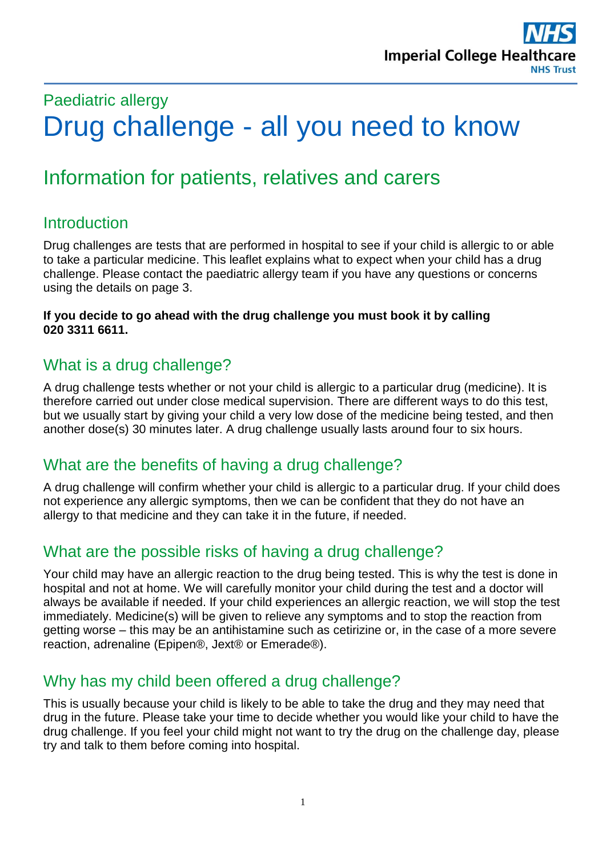# Paediatric allergy Drug challenge - all you need to know

# Information for patients, relatives and carers

#### **Introduction**

Drug challenges are tests that are performed in hospital to see if your child is allergic to or able to take a particular medicine. This leaflet explains what to expect when your child has a drug challenge. Please contact the paediatric allergy team if you have any questions or concerns using the details on page 3.

**If you decide to go ahead with the drug challenge you must book it by calling 020 3311 6611.**

#### What is a drug challenge?

A drug challenge tests whether or not your child is allergic to a particular drug (medicine). It is therefore carried out under close medical supervision. There are different ways to do this test, but we usually start by giving your child a very low dose of the medicine being tested, and then another dose(s) 30 minutes later. A drug challenge usually lasts around four to six hours.

#### What are the benefits of having a drug challenge?

A drug challenge will confirm whether your child is allergic to a particular drug. If your child does not experience any allergic symptoms, then we can be confident that they do not have an allergy to that medicine and they can take it in the future, if needed.

#### What are the possible risks of having a drug challenge?

Your child may have an allergic reaction to the drug being tested. This is why the test is done in hospital and not at home. We will carefully monitor your child during the test and a doctor will always be available if needed. If your child experiences an allergic reaction, we will stop the test immediately. Medicine(s) will be given to relieve any symptoms and to stop the reaction from getting worse – this may be an antihistamine such as cetirizine or, in the case of a more severe reaction, adrenaline (Epipen®, Jext® or Emerade®).

#### Why has my child been offered a drug challenge?

This is usually because your child is likely to be able to take the drug and they may need that drug in the future. Please take your time to decide whether you would like your child to have the drug challenge. If you feel your child might not want to try the drug on the challenge day, please try and talk to them before coming into hospital.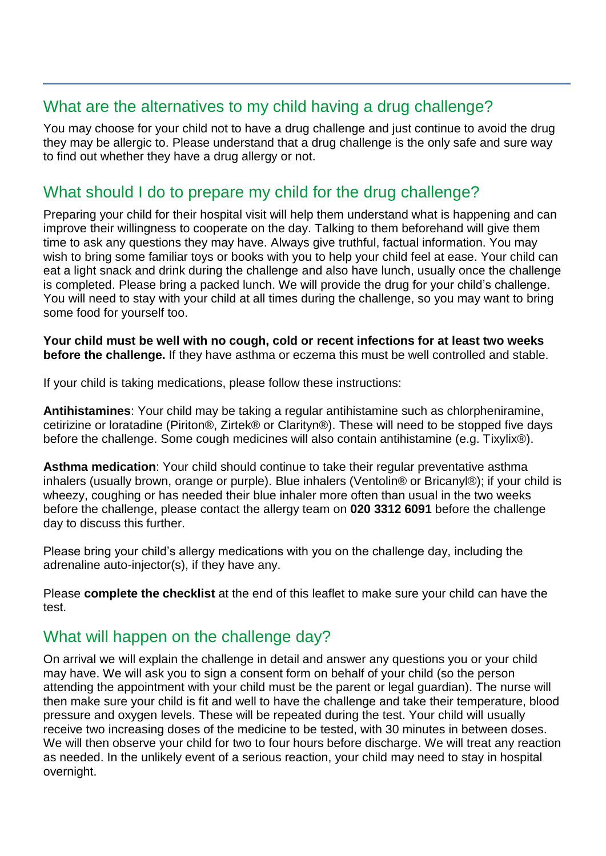#### What are the alternatives to my child having a drug challenge?

You may choose for your child not to have a drug challenge and just continue to avoid the drug they may be allergic to. Please understand that a drug challenge is the only safe and sure way to find out whether they have a drug allergy or not.

#### What should I do to prepare my child for the drug challenge?

Preparing your child for their hospital visit will help them understand what is happening and can improve their willingness to cooperate on the day. Talking to them beforehand will give them time to ask any questions they may have. Always give truthful, factual information. You may wish to bring some familiar toys or books with you to help your child feel at ease. Your child can eat a light snack and drink during the challenge and also have lunch, usually once the challenge is completed. Please bring a packed lunch. We will provide the drug for your child's challenge. You will need to stay with your child at all times during the challenge, so you may want to bring some food for yourself too.

**Your child must be well with no cough, cold or recent infections for at least two weeks before the challenge.** If they have asthma or eczema this must be well controlled and stable.

If your child is taking medications, please follow these instructions:

**Antihistamines**: Your child may be taking a regular antihistamine such as chlorpheniramine, cetirizine or loratadine (Piriton®, Zirtek® or Clarityn®). These will need to be stopped five days before the challenge. Some cough medicines will also contain antihistamine (e.g. Tixylix®).

**Asthma medication**: Your child should continue to take their regular preventative asthma inhalers (usually brown, orange or purple). Blue inhalers (Ventolin® or Bricanyl®); if your child is wheezy, coughing or has needed their blue inhaler more often than usual in the two weeks before the challenge, please contact the allergy team on **020 3312 6091** before the challenge day to discuss this further.

Please bring your child's allergy medications with you on the challenge day, including the adrenaline auto-injector(s), if they have any.

Please **complete the checklist** at the end of this leaflet to make sure your child can have the test.

#### What will happen on the challenge day?

On arrival we will explain the challenge in detail and answer any questions you or your child may have. We will ask you to sign a consent form on behalf of your child (so the person attending the appointment with your child must be the parent or legal guardian). The nurse will then make sure your child is fit and well to have the challenge and take their temperature, blood pressure and oxygen levels. These will be repeated during the test. Your child will usually receive two increasing doses of the medicine to be tested, with 30 minutes in between doses. We will then observe your child for two to four hours before discharge. We will treat any reaction as needed. In the unlikely event of a serious reaction, your child may need to stay in hospital overnight.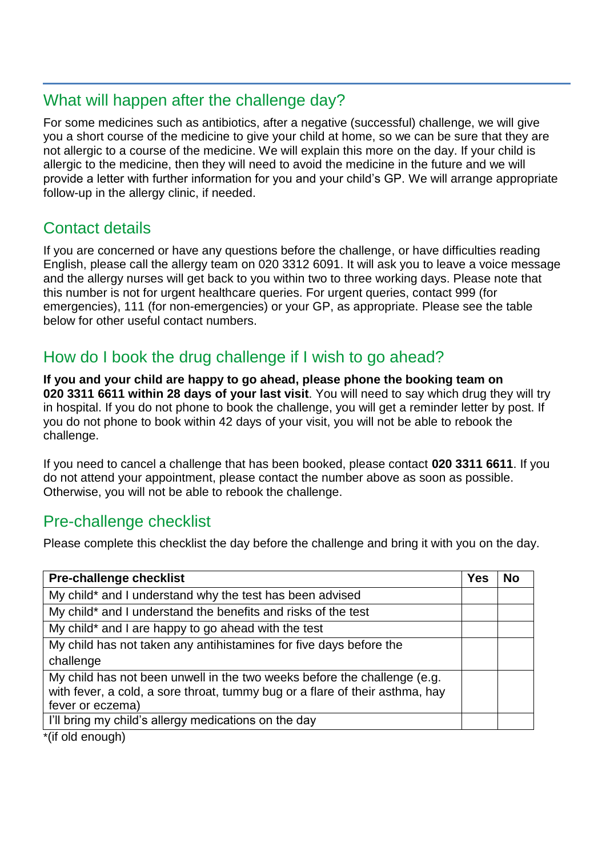#### What will happen after the challenge day?

For some medicines such as antibiotics, after a negative (successful) challenge, we will give you a short course of the medicine to give your child at home, so we can be sure that they are not allergic to a course of the medicine. We will explain this more on the day. If your child is allergic to the medicine, then they will need to avoid the medicine in the future and we will provide a letter with further information for you and your child's GP. We will arrange appropriate follow-up in the allergy clinic, if needed.

# Contact details

If you are concerned or have any questions before the challenge, or have difficulties reading English, please call the allergy team on 020 3312 6091. It will ask you to leave a voice message and the allergy nurses will get back to you within two to three working days. Please note that this number is not for urgent healthcare queries. For urgent queries, contact 999 (for emergencies), 111 (for non-emergencies) or your GP, as appropriate. Please see the table below for other useful contact numbers.

# How do I book the drug challenge if I wish to go ahead?

**If you and your child are happy to go ahead, please phone the booking team on 020 3311 6611 within 28 days of your last visit**. You will need to say which drug they will try in hospital. If you do not phone to book the challenge, you will get a reminder letter by post. If you do not phone to book within 42 days of your visit, you will not be able to rebook the challenge.

If you need to cancel a challenge that has been booked, please contact **020 3311 6611**. If you do not attend your appointment, please contact the number above as soon as possible. Otherwise, you will not be able to rebook the challenge.

### Pre-challenge checklist

Please complete this checklist the day before the challenge and bring it with you on the day.

| <b>Pre-challenge checklist</b>                                                                                                                                               | <b>Yes</b> | <b>No</b> |
|------------------------------------------------------------------------------------------------------------------------------------------------------------------------------|------------|-----------|
| My child* and I understand why the test has been advised                                                                                                                     |            |           |
| My child* and I understand the benefits and risks of the test                                                                                                                |            |           |
| My child* and I are happy to go ahead with the test                                                                                                                          |            |           |
| My child has not taken any antihistamines for five days before the                                                                                                           |            |           |
| challenge                                                                                                                                                                    |            |           |
| My child has not been unwell in the two weeks before the challenge (e.g.<br>with fever, a cold, a sore throat, tummy bug or a flare of their asthma, hay<br>fever or eczema) |            |           |
| I'll bring my child's allergy medications on the day                                                                                                                         |            |           |

`(if old enough)